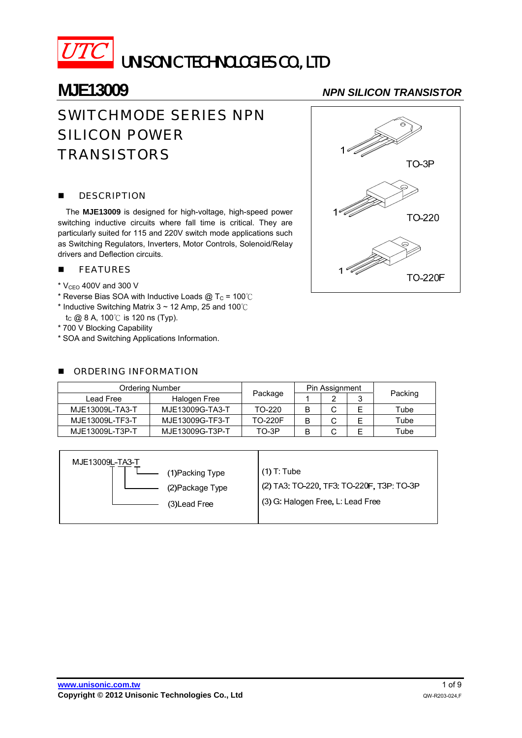

# UNISONIC TECHNOLOGIES CO., LTD

## SWITCHMODE SERIES NPN SILICON POWER **TRANSISTORS**

### **DESCRIPTION**

The **MJE13009** is designed for high-voltage, high-speed power switching inductive circuits where fall time is critical. They are particularly suited for 115 and 220V switch mode applications such as Switching Regulators, Inverters, Motor Controls, Solenoid/Relay drivers and Deflection circuits.

### **FEATURES**

- $*$  V<sub>CEO</sub> 400V and 300 V
- \* Reverse Bias SOA with Inductive Loads @  $T_c$  = 100°C
- \* Inductive Switching Matrix 3 ~ 12 Amp, 25 and 100  $\degree$  $t<sub>C</sub>$  @ 8 A, 100 °C is 120 ns (Typ).
- \* 700 V Blocking Capability
- \* SOA and Switching Applications Information.

### **DE ORDERING INFORMATION**

## **MJE13009** *NPN SILICON TRANSISTOR*



| <b>Ordering Number</b> |                 |                | Pin Assignment |   |   |         |  |
|------------------------|-----------------|----------------|----------------|---|---|---------|--|
| Lead Free              | Halogen Free    | Package        |                | ◠ | ື | Packing |  |
| MJE13009L-TA3-T        | MJE13009G-TA3-T | TO-220         | B              | С |   | Tube    |  |
| MJE13009L-TF3-T        | MJE13009G-TF3-T | <b>TO-220F</b> |                |   |   | Tube    |  |
| MJE13009L-T3P-T        | MJE13009G-T3P-T | TO-3P          |                |   |   | Tube    |  |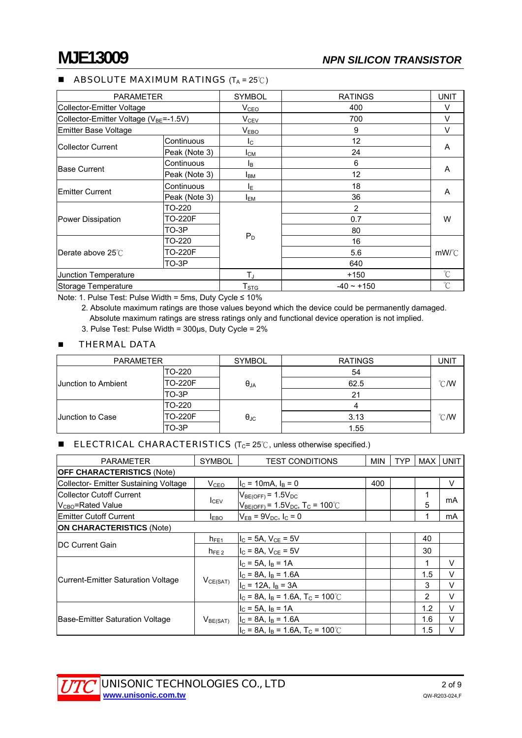### **ABSOLUTE MAXIMUM RATINGS**  $(T_A = 25^{\circ}C)$

| <b>PARAMETER</b>                      |               | <b>SYMBOL</b>           | <b>RATINGS</b>  | <b>UNIT</b>     |  |
|---------------------------------------|---------------|-------------------------|-----------------|-----------------|--|
| Collector-Emitter Voltage             |               | V <sub>CEO</sub>        | 400             | V               |  |
| Collector-Emitter Voltage (VBE=-1.5V) |               | <b>V</b> <sub>CEV</sub> | 700             | V               |  |
| Emitter Base Voltage                  |               | V <sub>EBO</sub>        | 9               | V               |  |
|                                       | Continuous    | Ic.                     | 12              |                 |  |
| <b>ICollector Current</b>             | Peak (Note 3) | $I_{CM}$                | 24              | A               |  |
|                                       | Continuous    | Iв                      | 6               |                 |  |
| <b>Base Current</b>                   | Peak (Note 3) | <b>I</b> BM             | 12              | A               |  |
|                                       | Continuous    | ΙE                      | 18              | A               |  |
| Emitter Current                       | Peak (Note 3) | <b>IEM</b>              | 36              |                 |  |
|                                       | TO-220        |                         | 2               | W               |  |
| Power Dissipation                     | TO-220F       |                         | 0.7             |                 |  |
|                                       | TO-3P         |                         | 80              |                 |  |
| <b>Derate above 25℃</b>               | TO-220        | $P_D$                   | 16              |                 |  |
|                                       | TO-220F       |                         | 5.6             | mW/°C           |  |
|                                       | TO-3P         |                         | 640             |                 |  |
| Junction Temperature                  |               | $T_{\rm J}$             | $+150$          | °C              |  |
| Storage Temperature                   |               | T <sub>STG</sub>        | $-40 \sim +150$ | $\rm ^{\circ}C$ |  |

Note: 1. Pulse Test: Pulse Width = 5ms, Duty Cycle ≤ 10%

 2. Absolute maximum ratings are those values beyond which the device could be permanently damaged. Absolute maximum ratings are stress ratings only and functional device operation is not implied.

3. Pulse Test: Pulse Width = 300µs, Duty Cycle = 2%

### **THERMAL DATA**

| <b>PARAMETER</b>        |                | <b>SYMBOL</b>        | <b>RATINGS</b> | <b>UNIT</b>   |
|-------------------------|----------------|----------------------|----------------|---------------|
|                         | TO-220         |                      | 54             |               |
| Junction to Ambient     | <b>TO-220F</b> | $\theta_{JA}$        | 62.5           | $\degree$ C/W |
|                         | TO-3P          |                      | 21             |               |
|                         | TO-220         |                      |                |               |
| <b>Junction to Case</b> | TO-220F        | $\theta_{\text{JC}}$ | 3.13           | $\degree$ C/W |
|                         | TO-3P          |                      | 1.55           |               |

### **ELECTRICAL CHARACTERISTICS** ( $T_c$ = 25°C, unless otherwise specified.)

| <b>PARAMETER</b>                      | <b>SYMBOL</b>             | <b>TEST CONDITIONS</b><br>MIN                                |     | <b>TYP</b> | MAX | <b>UNIT</b> |  |
|---------------------------------------|---------------------------|--------------------------------------------------------------|-----|------------|-----|-------------|--|
| <b>OFF CHARACTERISTICS (Note)</b>     |                           |                                                              |     |            |     |             |  |
| Collector- Emitter Sustaining Voltage | V <sub>CEO</sub>          | $I_C = 10 \text{mA}$ , $I_B = 0$                             | 400 |            |     | $\vee$      |  |
| <b>ICollector Cutoff Current</b>      | I <sub>CEV</sub>          | $V_{BE(OFF)} = 1.5V_{DC}$                                    |     |            | 1   |             |  |
| $V_{CBO}$ =Rated Value                |                           | $V_{BE(OFF)} = 1.5V_{DC}$ , T <sub>C</sub> = 100°C           |     |            | 5   | mA          |  |
| <b>IEmitter Cutoff Current</b>        | <b>LEBO</b>               | $V_{FB} = 9V_{DC}$ , $I_C = 0$                               |     |            |     | mA          |  |
| <b>ON CHARACTERISTICS (Note)</b>      |                           |                                                              |     |            |     |             |  |
|                                       | $h_{FE1}$                 | $I_C = 5A$ , $V_{CE} = 5V$                                   |     |            | 40  |             |  |
| <b>IDC Current Gain</b>               | $h_{FE,2}$                | $I_C = 8A$ , $V_{CE} = 5V$                                   |     |            | 30  |             |  |
|                                       | $I_C = 5A$ , $I_B = 1A$   |                                                              | 1   | v          |     |             |  |
|                                       | $I_C = 8A$ , $I_B = 1.6A$ |                                                              |     | 1.5        | V   |             |  |
| Current-Emitter Saturation Voltage    | $V_{CE(SAT)}$             | $IC$ = 12A, $IB$ = 3A                                        |     |            | 3   | V           |  |
|                                       |                           | $I_C = 8A$ , $I_B = 1.6A$ , $T_C = 100^{\circ}C$             |     |            | 2   | $\vee$      |  |
|                                       |                           | $I_C = 5A$ , $I_B = 1A$                                      |     |            | 1.2 | V           |  |
| Base-Emitter Saturation Voltage       | $V_{BE(SAT)}$             | $IC$ = 8A, $IB$ = 1.6A                                       |     |            | 1.6 | V           |  |
|                                       |                           | $I_{\rm C}$ = 8A, $I_{\rm B}$ = 1.6A, T <sub>C</sub> = 100°C |     |            | 1.5 | $\vee$      |  |

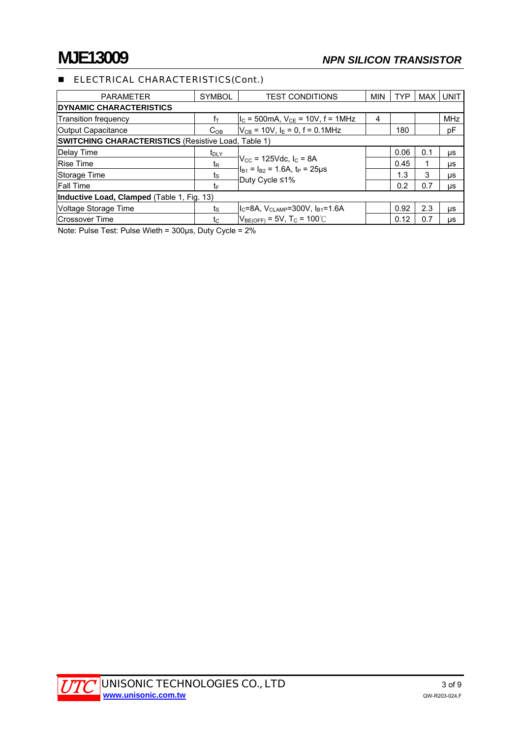## **ELECTRICAL CHARACTERISTICS(Cont.)**

| <b>PARAMETER</b>                                           | <b>SYMBOL</b>    | <b>TEST CONDITIONS</b>                                                                                                | MIN | <b>TYP</b> | <b>MAX</b> | <b>UNIT</b> |  |  |
|------------------------------------------------------------|------------------|-----------------------------------------------------------------------------------------------------------------------|-----|------------|------------|-------------|--|--|
| <b>IDYNAMIC CHARACTERISTICS</b>                            |                  |                                                                                                                       |     |            |            |             |  |  |
| <b>Transition frequency</b>                                | fт               | $I_{\rm C}$ = 500mA, $V_{\rm CE}$ = 10V, f = 1MHz                                                                     | 4   |            |            | <b>MHz</b>  |  |  |
| Output Capacitance                                         | C <sub>OB</sub>  | $V_{CB}$ = 10V, I <sub>E</sub> = 0, f = 0.1MHz                                                                        |     | 180        |            | pF          |  |  |
| <b>SWITCHING CHARACTERISTICS (Resistive Load, Table 1)</b> |                  |                                                                                                                       |     |            |            |             |  |  |
| Delay Time                                                 | t <sub>DLY</sub> |                                                                                                                       |     | 0.06       | 0.1        | μs          |  |  |
| <b>Rise Time</b>                                           | t <sub>R</sub>   | $V_{\text{CC}}$ = 125Vdc, $I_{\text{C}}$ = 8A<br>$I_{B1} = I_{B2} = 1.6$ A, t <sub>P</sub> = 25 µ s<br>Duty Cycle ≤1% |     | 0.45       |            | μs          |  |  |
| Storage Time                                               | ts               |                                                                                                                       |     | 1.3        | 3          | μs          |  |  |
| <b>Fall Time</b>                                           | t⊧               |                                                                                                                       |     | 0.2        | 0.7        | μs          |  |  |
| Inductive Load, Clamped (Table 1, Fig. 13)                 |                  |                                                                                                                       |     |            |            |             |  |  |
| Voltage Storage Time                                       | ts               | IIc=8А, V <sub>CLAMP</sub> =300V, I <sub>B1</sub> =1.6А                                                               |     | 0.92       | 2.3        | μs          |  |  |
| <b>Crossover Time</b>                                      | tc               | $V_{BE(OFF)} = 5V$ , T <sub>C</sub> = 100°C                                                                           |     | 0.12       | 0.7        | μs          |  |  |

Note: Pulse Test: Pulse Wieth = 300µs, Duty Cycle = 2%

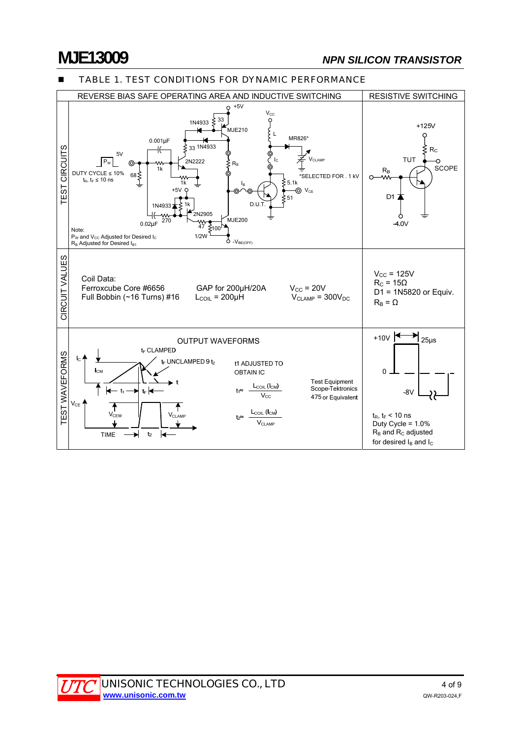## **MJE13009** *NPN SILICON TRANSISTOR*



### **TABLE 1. TEST CONDITIONS FOR DYNAMIC PERFORMANCE**

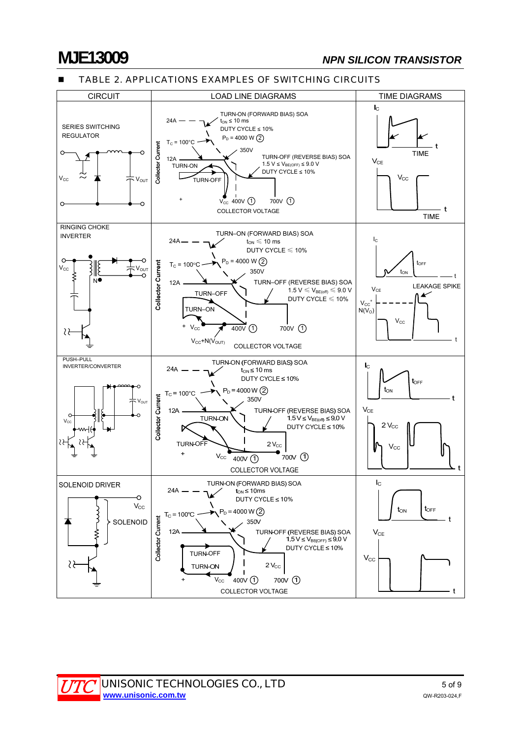### TABLE 2. APPLICATIONS EXAMPLES OF SWITCHING CIRCUITS

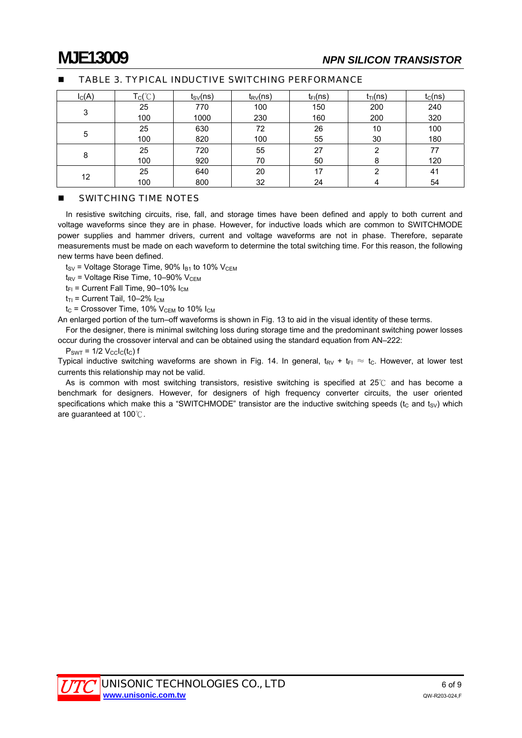| $I_{C}(A)$ | $\mathsf{T}_{\mathsf{C}}(\mathrm{C})$ | $t_{SV}(ns)$ | $t_{\text{RV}}(ns)$ | $t_{FI}(ns)$ | $t_{Tl}(ns)$ | $t_C(ns)$ |
|------------|---------------------------------------|--------------|---------------------|--------------|--------------|-----------|
| 3          | 25                                    | 770          | 100                 | 150          | 200          | 240       |
|            | 100                                   | 1000         | 230                 | 160          | 200          | 320       |
| 5          | 25                                    | 630          | 72                  | 26           | 10           | 100       |
|            | 100                                   | 820          | 100                 | 55           | 30           | 180       |
|            | 25                                    | 720          | 55                  | 27           | າ            | 77        |
| 8          | 100                                   | 920          | 70                  | 50           |              | 120       |
| 12         | 25                                    | 640          | 20                  | 17           | ◠            | 41        |
|            | 100                                   | 800          | 32                  | 24           |              | 54        |

### TABLE 3. TYPICAL INDUCTIVE SWITCHING PERFORMANCE

### **SWITCHING TIME NOTES**

In resistive switching circuits, rise, fall, and storage times have been defined and apply to both current and voltage waveforms since they are in phase. However, for inductive loads which are common to SWITCHMODE power supplies and hammer drivers, current and voltage waveforms are not in phase. Therefore, separate measurements must be made on each waveform to determine the total switching time. For this reason, the following new terms have been defined.

 $t_{SV}$  = Voltage Storage Time, 90%  $I_{B1}$  to 10%  $V_{CEM}$ 

 $t_{\text{RV}}$  = Voltage Rise Time, 10–90% V<sub>CEM</sub>

 $t_{FI}$  = Current Fall Time, 90–10%  $I_{CM}$ 

 $t_{T1}$  = Current Tail, 10–2%  $I_{CM}$ 

 $t_{\rm C}$  = Crossover Time, 10%  $V_{\rm CEM}$  to 10%  $I_{\rm CM}$ 

An enlarged portion of the turn–off waveforms is shown in Fig. 13 to aid in the visual identity of these terms.

For the designer, there is minimal switching loss during storage time and the predominant switching power losses occur during the crossover interval and can be obtained using the standard equation from AN–222:

 $P_{\text{SWT}} = 1/2$   $V_{\text{cclc}}(t_{\text{c}})$  f

Typical inductive switching waveforms are shown in Fig. 14. In general,  $t_{RV} + t_{Fl} \approx t_C$ . However, at lower test currents this relationship may not be valid.

As is common with most switching transistors, resistive switching is specified at  $25^\circ\text{C}$  and has become a benchmark for designers. However, for designers of high frequency converter circuits, the user oriented specifications which make this a "SWITCHMODE" transistor are the inductive switching speeds ( $t_c$  and  $t_{sv}$ ) which are guaranteed at  $100^{\circ}$ .

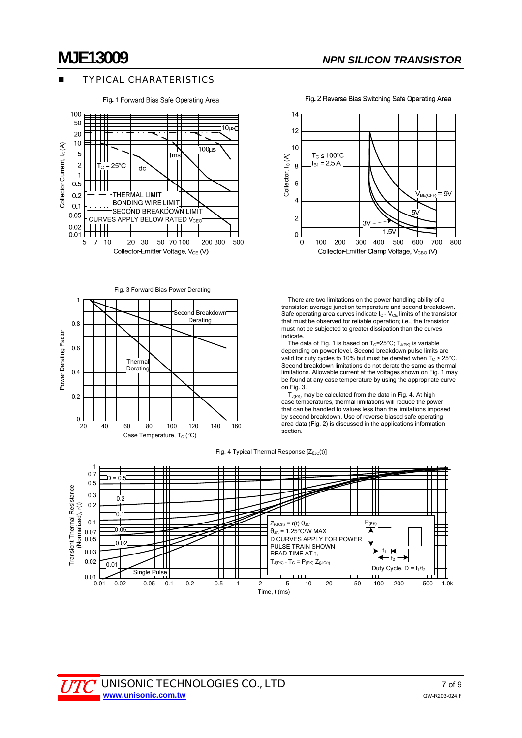### TYPICAL CHARATERISTICS

Fig. 1 Forward Bias Safe Operating Area



Fig. 3 Forward Bias Power Derating





Fig. 2 Reverse Bias Switching Safe Operating Area

 There are two limitations on the power handling ability of a transistor: average junction temperature and second breakdown. Safe operating area curves indicate  $I_C$  -  $V_{CE}$  limits of the transistor that must be observed for reliable operation; i.e., the transistor must not be subjected to greater dissipation than the curves indicate.

The data of Fig. 1 is based on  $T_c=25^{\circ}$ C;  $T_{J(PK)}$  is variable depending on power level. Second breakdown pulse limits are valid for duty cycles to 10% but must be derated when  $T_c \ge 25^{\circ}$ C. Second breakdown limitations do not derate the same as thermal limitations. Allowable current at the voltages shown on Fig. 1 may be found at any case temperature by using the appropriate curve on Fig. 3.

 $T_{J(PK)}$  may be calculated from the data in Fig. 4. At high case temperatures, thermal limitations will reduce the power that can be handled to values less than the limitations imposed by second breakdown. Use of reverse biased safe operating area data (Fig. 2) is discussed in the applications information section.

Fig. 4 Typical Thermal Response [Z<sub>θJC</sub>(t)]

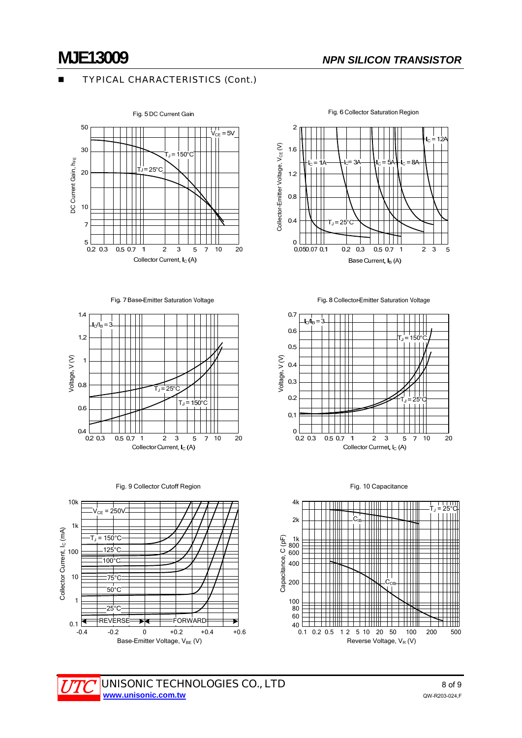### TYPICAL CHARACTERISTICS (Cont.)



Fig. 7 Base-Emitter Saturation Voltage











Fig. 8 Collector-Emitter Saturation Voltage